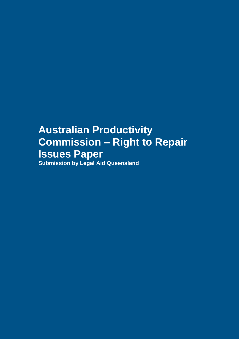# **Australian Productivity Commission – Right to Repair Issues Paper Submission by Legal Aid Queensland**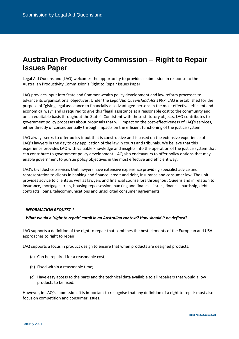# **Australian Productivity Commission – Right to Repair Issues Paper**

Legal Aid Queensland (LAQ) welcomes the opportunity to provide a submission in response to the Australian Productivity Commission's Right to Repair Issues Paper.

LAQ provides input into State and Commonwealth policy development and law reform processes to advance its organisational objectives. Under the *Legal Aid Queensland Act 1997*, LAQ is established for the purpose of "giving legal assistance to financially disadvantaged persons in the most effective, efficient and economical way" and is required to give this "legal assistance at a reasonable cost to the community and on an equitable basis throughout the State". Consistent with these statutory objects, LAQ contributes to government policy processes about proposals that will impact on the cost-effectiveness of LAQ's services, either directly or consequentially through impacts on the efficient functioning of the justice system.

LAQ always seeks to offer policy input that is constructive and is based on the extensive experience of LAQ's lawyers in the day to day application of the law in courts and tribunals. We believe that this experience provides LAQ with valuable knowledge and insights into the operation of the justice system that can contribute to government policy development. LAQ also endeavours to offer policy options that may enable government to pursue policy objectives in the most effective and efficient way.

LAQ's Civil Justice Services Unit lawyers have extensive experience providing specialist advice and representation to clients in banking and finance, credit and debt, insurance and consumer law. The unit provides advice to clients as well as lawyers and financial counsellors throughout Queensland in relation to insurance, mortgage stress, housing repossession, banking and financial issues, financial hardship, debt, contracts, loans, telecommunications and unsolicited consumer agreements.

# *INFORMATION REQUEST 1*

*What would a 'right to repair' entail in an Australian context? How should it be defined?*

LAQ supports a definition of the right to repair that combines the best elements of the European and USA approaches to right to repair.

LAQ supports a focus in product design to ensure that when products are designed products:

- (a) Can be repaired for a reasonable cost;
- (b) Fixed within a reasonable time;
- (c) Have easy access to the parts and the technical data available to all repairers that would allow products to be fixed.

However, in LAQ's submission, it is important to recognise that any definition of a right to repair must also focus on competition and consumer issues.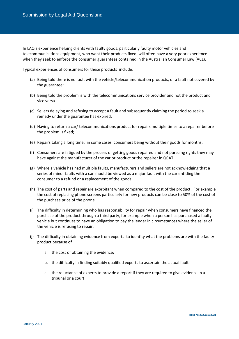In LAQ's experience helping clients with faulty goods, particularly faulty motor vehicles and telecommunications equipment, who want their products fixed, will often have a very poor experience when they seek to enforce the consumer guarantees contained in the Australian Consumer Law (ACL).

Typical experiences of consumers for these products include:

- (a) Being told there is no fault with the vehicle/telecommunication products, or a fault not covered by the guarantee;
- (b) Being told the problem is with the telecommunications service provider and not the product and vice versa
- (c) Sellers delaying and refusing to accept a fault and subsequently claiming the period to seek a remedy under the guarantee has expired;
- (d) Having to return a car/ telecommunications product for repairs multiple times to a repairer before the problem is fixed;
- (e) Repairs taking a long time, in some cases, consumers being without their goods for months;
- (f) Consumers are fatigued by the process of getting goods repaired and not pursuing rights they may have against the manufacturer of the car or product or the repairer in QCAT;
- (g) Where a vehicle has had multiple faults, manufacturers and sellers are not acknowledging that a series of minor faults with a car should be viewed as a major fault with the car entitling the consumer to a refund or a replacement of the goods.
- (h) The cost of parts and repair are exorbitant when compared to the cost of the product. For example the cost of replacing phone screens particularly for new products can be close to 50% of the cost of the purchase price of the phone.
- (i) The difficulty in determining who has responsibility for repair when consumers have financed the purchase of the product through a third party, for example when a person has purchased a faulty vehicle but continues to have an obligation to pay the lender in circumstances where the seller of the vehicle is refusing to repair.
- (j) The difficulty in obtaining evidence from experts to identity what the problems are with the faulty product because of
	- a. the cost of obtaining the evidence;
	- b. the difficulty in finding suitably qualified experts to ascertain the actual fault
	- c. the reluctance of experts to provide a report if they are required to give evidence in a tribunal or a court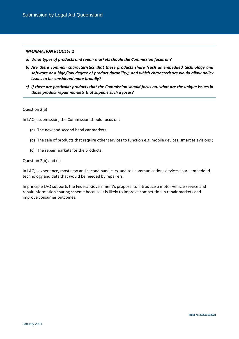# *INFORMATION REQUEST 2*

- *a) What types of products and repair markets should the Commission focus on?*
- *b) Are there common characteristics that these products share (such as embedded technology and software or a high/low degree of product durability), and which characteristics would allow policy issues to be considered more broadly?*
- *c) If there are particular products that the Commission should focus on, what are the unique issues in those product repair markets that support such a focus?*

# Question 2(a)

In LAQ's submission, the Commission should focus on:

- (a) The new and second hand car markets;
- (b) The sale of products that require other services to function e.g. mobile devices, smart televisions ;
- (c) The repair markets for the products.

# Question 2(b) and (c)

In LAQ's experience, most new and second hand cars and telecommunications devices share embedded technology and data that would be needed by repairers.

In principle LAQ supports the Federal Government's proposal to introduce a motor vehicle service and repair information sharing scheme because it is likely to improve competition in repair markets and improve consumer outcomes.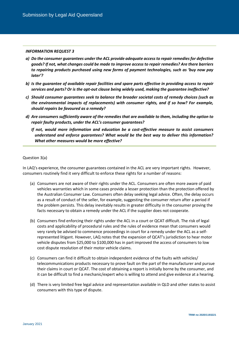#### *INFORMATION REQUEST 3*

- *a) Do the consumer guarantees under the ACL provide adequate access to repair remedies for defective goods? If not, what changes could be made to improve access to repair remedies? Are there barriers to repairing products purchased using new forms of payment technologies, such as 'buy now pay later'?*
- *b) Is the guarantee of available repair facilities and spare parts effective in providing access to repair services and parts? Or is the opt-out clause being widely used, making the guarantee ineffective?*
- *c) Should consumer guarantees seek to balance the broader societal costs of remedy choices (such as the environmental impacts of replacements) with consumer rights, and if so how? For example, should repairs be favoured as a remedy?*
- *d) Are consumers sufficiently aware of the remedies that are available to them, including the option to repair faulty products, under the ACL's consumer guarantees?*
	- *If not, would more information and education be a cost-effective measure to assist consumers understand and enforce guarantees? What would be the best way to deliver this information? What other measures would be more effective?*

# Question 3(a)

In LAQ's experience, the consumer guarantees contained in the ACL are very important rights. However, consumers routinely find it very difficult to enforce these rights for a number of reasons:

- (a) Consumers are not aware of their rights under the ACL. Consumers are often more aware of paid vehicles warranties which in some cases provide a lesser protection than the protection offered by the Australian Consumer Law. Consumers often delay seeking legal advice. Often, the delay occurs as a result of conduct of the seller, for example, suggesting the consumer return after a period if the problem persists. This delay inevitably results in greater difficulty in the consumer proving the facts necessary to obtain a remedy under the ACL if the supplier does not cooperate.
- (b) Consumers find enforcing their rights under the ACL in a court or QCAT difficult. The risk of legal costs and applicability of procedural rules and the rules of evidence mean that consumers would very rarely be advised to commence proceedings in court for a remedy under the ACL as a selfrepresented litigant. However, LAQ notes that the expansion of QCAT's jurisdiction to hear motor vehicle disputes from \$25,000 to \$100,000 has in part improved the access of consumers to low cost dispute resolution of their motor vehicle claims.
- (c) Consumers can find it difficult to obtain independent evidence of the faults with vehicles/ telecommunications products necessary to prove fault on the part of the manufacturer and pursue their claims in court or QCAT. The cost of obtaining a report is initially borne by the consumer, and it can be difficult to find a mechanic/expert who is willing to attend and give evidence at a hearing.
- (d) There is very limited free legal advice and representation available in QLD and other states to assist consumers with this type of dispute.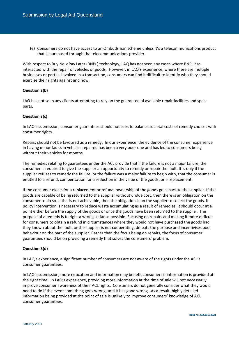(e) Consumers do not have access to an Ombudsman scheme unless it's a telecommunications product that is purchased through the telecommunications provider.

With respect to Buy Now Pay Later (BNPL) technology, LAQ has not seen any cases where BNPL has interacted with the repair of vehicles or goods. However, in LAQ's experience, where there are multiple businesses or parties involved in a transaction, consumers can find it difficult to identify who they should exercise their rights against and how.

# **Question 3(b)**

LAQ has not seen any clients attempting to rely on the guarantee of available repair facilities and space parts.

# **Question 3(c)**

In LAQ's submission, consumer guarantees should not seek to balance societal costs of remedy choices with consumer rights.

Repairs should not be favoured as a remedy. In our experience, the evidence of the consumer experience in having minor faults in vehicles repaired has been a very poor one and has led to consumers being without their vehicles for months.

The remedies relating to guarantees under the ACL provide that if the failure is not a major failure, the consumer is required to give the supplier an opportunity to remedy or repair the fault. It is only if the supplier refuses to remedy the failure, or the failure was a major failure to begin with, that the consumer is entitled to a refund, compensation for a reduction in the value of the goods, or a replacement.

If the consumer elects for a replacement or refund, ownership of the goods goes back to the supplier. If the goods are capable of being returned to the supplier without undue cost, then there is an obligation on the consumer to do so. If this is not achievable, then the obligation is on the supplier to collect the goods. If policy intervention is necessary to reduce waste accumulating as a result of remedies, it should occur at a point either before the supply of the goods or once the goods have been returned to the supplier. The purpose of a remedy is to right a wrong so far as possible. Focusing on repairs and making it more difficult for consumers to obtain a refund in circumstances where they would not have purchased the goods had they known about the fault, or the supplier is not cooperating, defeats the purpose and incentivises poor behaviour on the part of the supplier. Rather than the focus being on repairs, the focus of consumer guarantees should be on providing a remedy that solves the consumers' problem.

# **Question 3(d)**

In LAQ's experience, a significant number of consumers are not aware of the rights under the ACL's consumer guarantees.

In LAQ's submission, more education and information may benefit consumers if information is provided at the right time. In LAQ's experience, providing more information at the time of sale will not necessarily improve consumer awareness of their ACL rights. Consumers do not generally consider what they would need to do if the event something goes wrong until it has gone wrong. As a result, highly detailed information being provided at the point of sale is unlikely to improve consumers' knowledge of ACL consumer guarantees.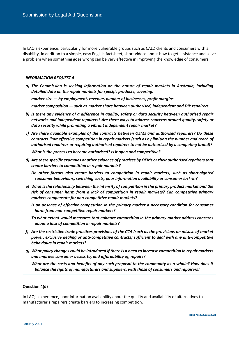In LAQ's experience, particularly for more vulnerable groups such as CALD clients and consumers with a disability, in addition to a simple, easy English factsheet, short videos about how to get assistance and solve a problem when something goes wrong can be very effective in improving the knowledge of consumers.

#### *INFORMATION REQUEST 4*

*a) The Commission is seeking information on the nature of repair markets in Australia, including detailed data on the repair markets for specific products, covering:* 

*market size — by employment, revenue, number of businesses, profit margins*

*market composition — such as market share between authorised, independent and DIY repairers.*

- *b) Is there any evidence of a difference in quality, safety or data security between authorised repair networks and independent repairers? Are there ways to address concerns around quality, safety or data security while promoting a vibrant independent repair market?*
- *c) Are there available examples of the contracts between OEMs and authorised repairers? Do these contracts limit effective competition in repair markets (such as by limiting the number and reach of authorised repairers or requiring authorised repairers to not be authorised by a competing brand)?*

*What is the process to become authorised? Is it open and competitive?* 

*d) Are there specific examples or other evidence of practices by OEMs or their authorised repairers that create barriers to competition in repair markets?*

*Do other factors also create barriers to competition in repair markets, such as short-sighted consumer behaviours, switching costs, poor information availability or consumer lock-in?*

- *e) What is the relationship between the intensity of competition in the primary product market and the risk of consumer harm from a lack of competition in repair markets? Can competitive primary markets compensate for non-competitive repair markets?*
	- *Is an absence of effective competition in the primary market a necessary condition for consumer harm from non-competitive repair markets?*
	- *To what extent would measures that enhance competition in the primary market address concerns about a lack of competition in repair markets?*
- *f) Are the restrictive trade practices provisions of the CCA (such as the provisions on misuse of market power, exclusive dealing or anti-competitive contracts) sufficient to deal with any anti-competitive behaviours in repair markets?*
- *g) What policy changes could be introduced if there is a need to increase competition in repair markets and improve consumer access to, and affordability of, repairs?*

*What are the costs and benefits of any such proposal to the community as a whole? How does it balance the rights of manufacturers and suppliers, with those of consumers and repairers?*

# **Question 4(d)**

In LAQ's experience, poor information availability about the quality and availability of alternatives to manufacturer's repairers create barriers to increasing competition.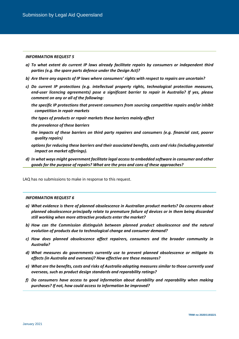# *INFORMATION REQUEST 5*

- *a) To what extent do current IP laws already facilitate repairs by consumers or independent third parties (e.g. the spare parts defence under the Design Act)?*
- *b) Are there any aspects of IP laws where consumers' rights with respect to repairs are uncertain?*
- *c) Do current IP protections (e.g. intellectual property rights, technological protection measures, end-user licencing agreements) pose a significant barrier to repair in Australia? If yes, please comment on any or all of the following:*
	- *the specific IP protections that prevent consumers from sourcing competitive repairs and/or inhibit competition in repair markets*
	- *the types of products or repair markets these barriers mainly affect*
	- *the prevalence of these barriers*
	- *the impacts of these barriers on third party repairers and consumers (e.g. financial cost, poorer quality repairs)*
	- *options for reducing these barriers and their associated benefits, costs and risks (including potential impact on market offerings).*
- *d) In what ways might government facilitate legal access to embedded software in consumer and other goods for the purpose of repairs? What are the pros and cons of these approaches?*

LAQ has no submissions to make in response to this request.

#### *INFORMATION REQUEST 6*

- *a) What evidence is there of planned obsolescence in Australian product markets? Do concerns about planned obsolescence principally relate to premature failure of devices or in them being discarded still working when more attractive products enter the market?*
- *b) How can the Commission distinguish between planned product obsolescence and the natural evolution of products due to technological change and consumer demand?*
- *c) How does planned obsolescence affect repairers, consumers and the broader community in Australia?*
- *d) What measures do governments currently use to prevent planned obsolescence or mitigate its effects (in Australia and overseas)? How effective are these measures?*
- *e) What are the benefits, costs and risks of Australia adopting measures similar to those currently used overseas, such as product design standards and reparability ratings?*
- *f) Do consumers have access to good information about durability and reparability when making purchases? If not, how could access to information be improved?*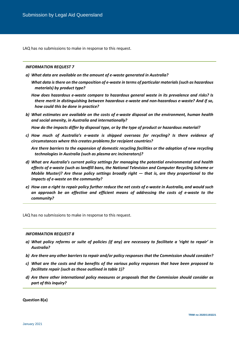LAQ has no submissions to make in response to this request.

#### *INFORMATION REQUEST 7*

*a) What data are available on the amount of e-waste generated in Australia?*

*What data is there on the composition of e-waste in terms of particular materials (such as hazardous materials) by product type?*

*How does hazardous e-waste compare to hazardous general waste in its prevalence and risks? Is there merit in distinguishing between hazardous e-waste and non-hazardous e-waste? And if so, how could this be done in practice?*

*b) What estimates are available on the costs of e-waste disposal on the environment, human health and social amenity, in Australia and internationally?* 

*How do the impacts differ by disposal type, or by the type of product or hazardous material?* 

*c) How much of Australia's e-waste is shipped overseas for recycling? Is there evidence of circumstances where this creates problems for recipient countries?* 

*Are there barriers to the expansion of domestic recycling facilities or the adoption of new recycling technologies in Australia (such as plasma arc incinerators)?*

- *d) What are Australia's current policy settings for managing the potential environmental and health effects of e-waste (such as landfill bans, the National Television and Computer Recycling Scheme or Mobile Muster)? Are these policy settings broadly right*  $-$  *that is, are they proportional to the impacts of e-waste on the community?*
- *e) How can a right to repair policy further reduce the net costs of e-waste in Australia, and would such an approach be an effective and efficient means of addressing the costs of e-waste to the community?*

LAQ has no submissions to make in response to this request.

#### *INFORMATION REQUEST 8*

- *a) What policy reforms or suite of policies (if any) are necessary to facilitate a 'right to repair' in Australia?*
- *b) Are there any other barriers to repair and/or policy responses that the Commission should consider?*
- *c) What are the costs and the benefits of the various policy responses that have been proposed to facilitate repair (such as those outlined in table 1)?*
- *d) Are there other international policy measures or proposals that the Commission should consider as part of this inquiry?*

**Question 8(a)**